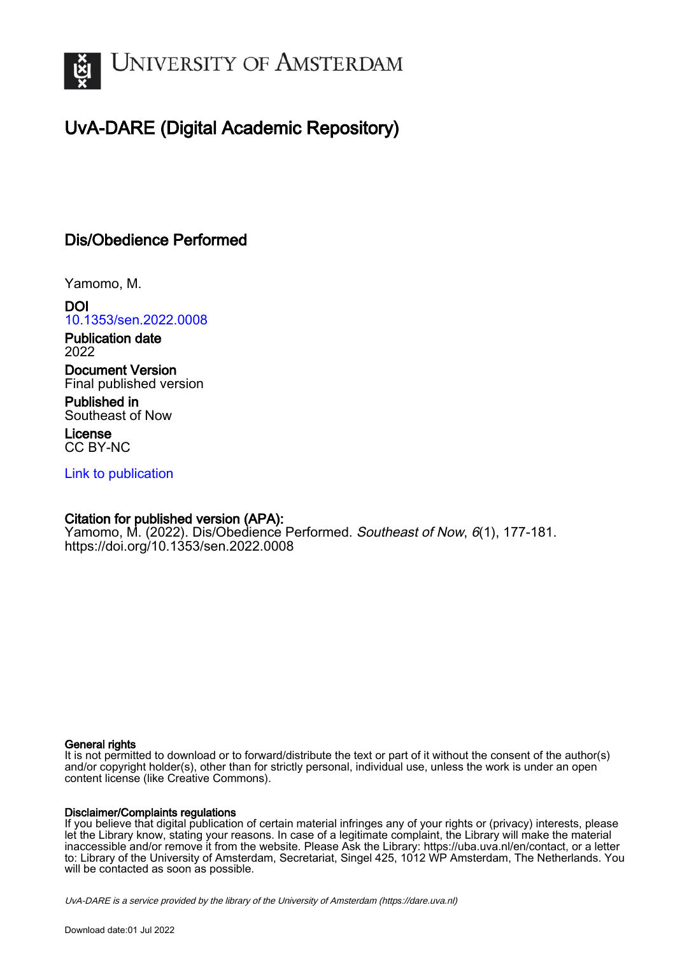

# UvA-DARE (Digital Academic Repository)

## Dis/Obedience Performed

Yamomo, M.

DOI [10.1353/sen.2022.0008](https://doi.org/10.1353/sen.2022.0008)

Publication date 2022

Document Version Final published version

Published in Southeast of Now

License CC BY-NC

[Link to publication](https://dare.uva.nl/personal/pure/en/publications/disobedience-performed(cf3a6fb7-272f-4951-8b40-4b61abf86dc9).html)

## Citation for published version (APA):

Yamomo, M. (2022). Dis/Obedience Performed. Southeast of Now, 6(1), 177-181. <https://doi.org/10.1353/sen.2022.0008>

### General rights

It is not permitted to download or to forward/distribute the text or part of it without the consent of the author(s) and/or copyright holder(s), other than for strictly personal, individual use, unless the work is under an open content license (like Creative Commons).

### Disclaimer/Complaints regulations

If you believe that digital publication of certain material infringes any of your rights or (privacy) interests, please let the Library know, stating your reasons. In case of a legitimate complaint, the Library will make the material inaccessible and/or remove it from the website. Please Ask the Library: https://uba.uva.nl/en/contact, or a letter to: Library of the University of Amsterdam, Secretariat, Singel 425, 1012 WP Amsterdam, The Netherlands. You will be contacted as soon as possible.

UvA-DARE is a service provided by the library of the University of Amsterdam (http*s*://dare.uva.nl)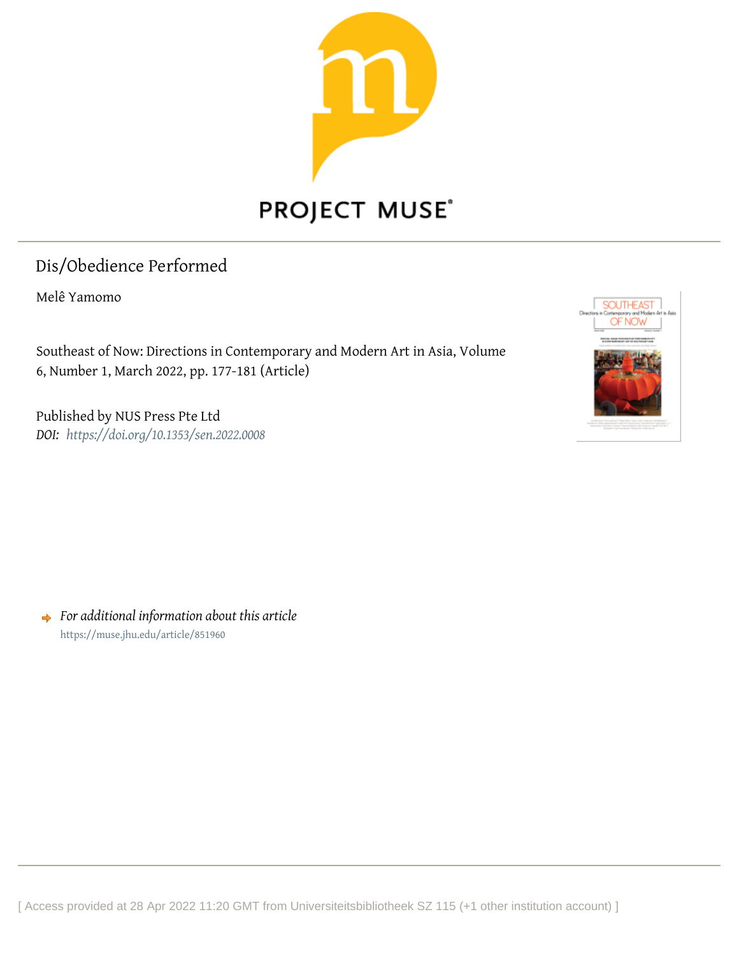

## Dis/Obedience Performed

Melê Yamomo

Southeast of Now: Directions in Contemporary and Modern Art in Asia, Volume 6, Number 1, March 2022, pp. 177-181 (Article)

Published by NUS Press Pte Ltd *DOI: <https://doi.org/10.1353/sen.2022.0008>*



*For additional information about this article* <https://muse.jhu.edu/article/851960>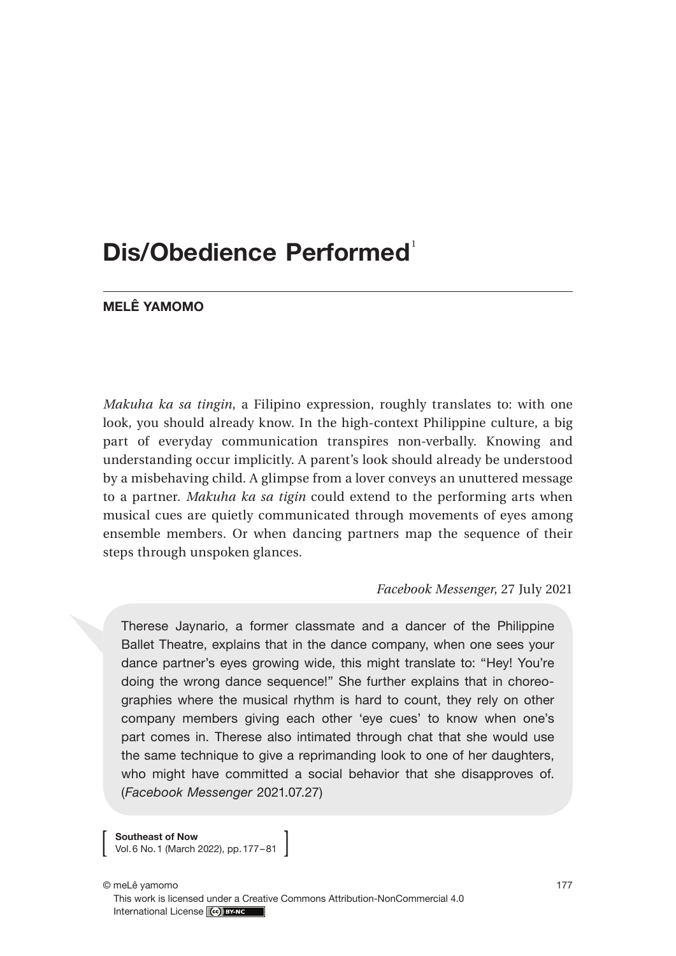# **Dis/Obedience Performed**<sup>1</sup>

### **MELÊ YAMOMO**

*Makuha ka sa tingin*, a Filipino expression, roughly translates to: with one look, you should already know. In the high-context Philippine culture, a big part of everyday communication transpires non-verbally. Knowing and understanding occur implicitly. A parent's look should already be understood by a misbehaving child. A glimpse from a lover conveys an unuttered message to a partner. *Makuha ka sa tigin* could extend to the performing arts when musical cues are quietly communicated through movements of eyes among ensemble members. Or when dancing partners map the sequence of their steps through unspoken glances.

#### *Facebook Messenger*, 27 July 2021

Therese Jaynario, a former classmate and a dancer of the Philippine Ballet Theatre, explains that in the dance company, when one sees your dance partner's eyes growing wide, this might translate to: "Hey! You're doing the wrong dance sequence!" She further explains that in choreographies where the musical rhythm is hard to count, they rely on other company members giving each other 'eye cues' to know when one's part comes in. Therese also intimated through chat that she would use the same technique to give a reprimanding look to one of her daughters, who might have committed a social behavior that she disapproves of. (*Facebook Messenger* 2021.07.27)

**Southeast of Now** Vol.6 No.1 (March 2022), pp.177–81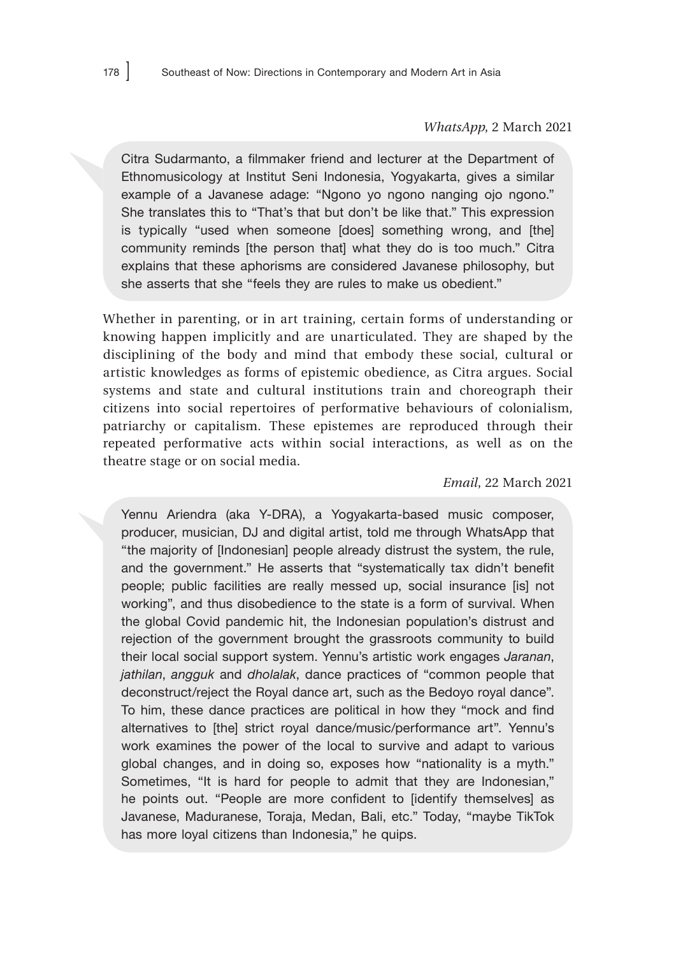#### *WhatsApp*, 2 March 2021

Citra Sudarmanto, a filmmaker friend and lecturer at the Department of Ethnomusicology at Institut Seni Indonesia, Yogyakarta, gives a similar example of a Javanese adage: "Ngono yo ngono nanging ojo ngono." She translates this to "That's that but don't be like that." This expression is typically "used when someone [does] something wrong, and [the] community reminds [the person that] what they do is too much." Citra explains that these aphorisms are considered Javanese philosophy, but she asserts that she "feels they are rules to make us obedient."

Whether in parenting, or in art training, certain forms of understanding or knowing happen implicitly and are unarticulated. They are shaped by the disciplining of the body and mind that embody these social, cultural or artistic knowledges as forms of epistemic obedience, as Citra argues. Social systems and state and cultural institutions train and choreograph their citizens into social repertoires of performative behaviours of colonialism, patriarchy or capitalism. These epistemes are reproduced through their repeated performative acts within social interactions, as well as on the theatre stage or on social media.

*Email*, 22 March 2021

Yennu Ariendra (aka Y-DRA), a Yogyakarta-based music composer, producer, musician, DJ and digital artist, told me through WhatsApp that "the majority of [Indonesian] people already distrust the system, the rule, and the government." He asserts that "systematically tax didn't benefit people; public facilities are really messed up, social insurance [is] not working", and thus disobedience to the state is a form of survival. When the global Covid pandemic hit, the Indonesian population's distrust and rejection of the government brought the grassroots community to build their local social support system. Yennu's artistic work engages *Jaranan*, *jathilan*, *angguk* and *dholalak*, dance practices of "common people that deconstruct/reject the Royal dance art, such as the Bedoyo royal dance". To him, these dance practices are political in how they "mock and find alternatives to [the] strict royal dance/music/performance art". Yennu's work examines the power of the local to survive and adapt to various global changes, and in doing so, exposes how "nationality is a myth." Sometimes, "It is hard for people to admit that they are Indonesian," he points out. "People are more confident to [identify themselves] as Javanese, Maduranese, Toraja, Medan, Bali, etc." Today, "maybe TikTok has more loyal citizens than Indonesia," he quips.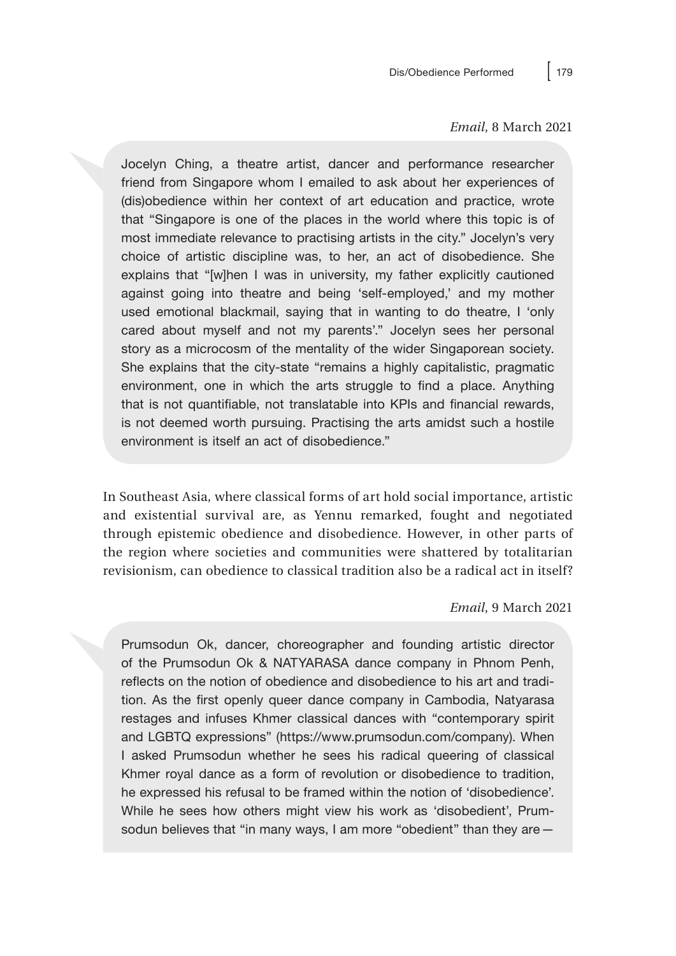#### *Email*, 8 March 2021

Jocelyn Ching, a theatre artist, dancer and performance researcher friend from Singapore whom I emailed to ask about her experiences of (dis)obedience within her context of art education and practice, wrote that "Singapore is one of the places in the world where this topic is of most immediate relevance to practising artists in the city." Jocelyn's very choice of artistic discipline was, to her, an act of disobedience. She explains that "[w]hen I was in university, my father explicitly cautioned against going into theatre and being 'self-employed,' and my mother used emotional blackmail, saying that in wanting to do theatre, I 'only cared about myself and not my parents'." Jocelyn sees her personal story as a microcosm of the mentality of the wider Singaporean society. She explains that the city-state "remains a highly capitalistic, pragmatic environment, one in which the arts struggle to find a place. Anything that is not quantifiable, not translatable into KPIs and financial rewards, is not deemed worth pursuing. Practising the arts amidst such a hostile environment is itself an act of disobedience."

In Southeast Asia, where classical forms of art hold social importance, artistic and existential survival are, as Yennu remarked, fought and negotiated through epistemic obedience and disobedience. However, in other parts of the region where societies and communities were shattered by totalitarian revisionism, can obedience to classical tradition also be a radical act in itself?

#### *Email*, 9 March 2021

Prumsodun Ok, dancer, choreographer and founding artistic director of the Prumsodun Ok & NATYARASA dance company in Phnom Penh, reflects on the notion of obedience and disobedience to his art and tradition. As the first openly queer dance company in Cambodia, Natyarasa restages and infuses Khmer classical dances with "contemporary spirit and LGBTQ expressions" (https://www.prumsodun.com/company). When I asked Prumsodun whether he sees his radical queering of classical Khmer royal dance as a form of revolution or disobedience to tradition, he expressed his refusal to be framed within the notion of 'disobedience'. While he sees how others might view his work as 'disobedient', Prumsodun believes that "in many ways, I am more "obedient" than they are -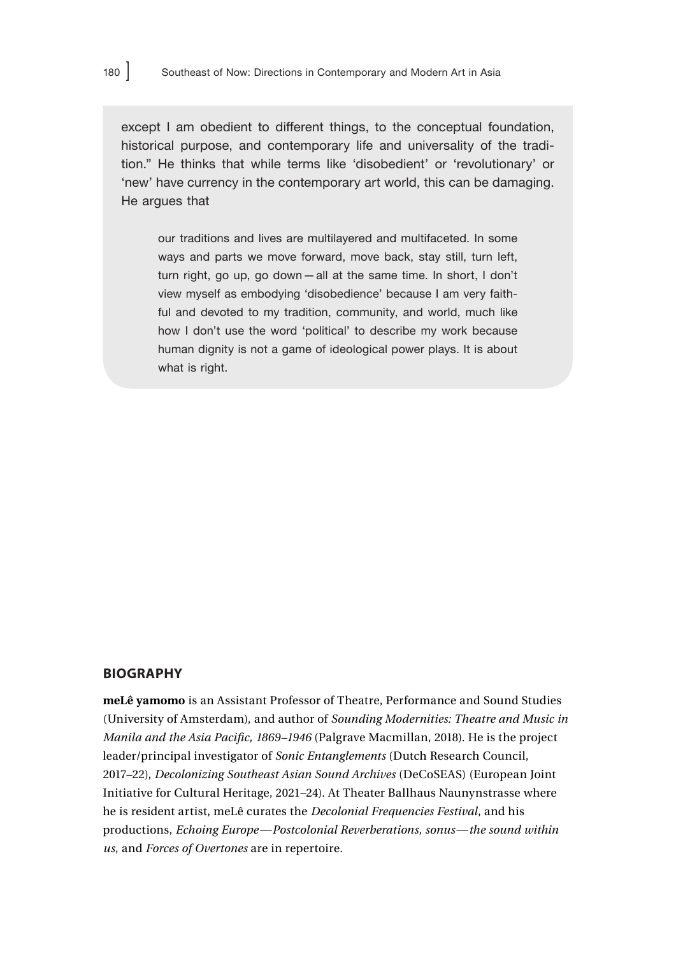except I am obedient to different things, to the conceptual foundation, historical purpose, and contemporary life and universality of the tradition." He thinks that while terms like 'disobedient' or 'revolutionary' or 'new' have currency in the contemporary art world, this can be damaging. He argues that

our traditions and lives are multilayered and multifaceted. In some ways and parts we move forward, move back, stay still, turn left, turn right, go up, go down—all at the same time. In short, I don't view myself as embodying 'disobedience' because I am very faithful and devoted to my tradition, community, and world, much like how I don't use the word 'political' to describe my work because human dignity is not a game of ideological power plays. It is about what is right.

### **BIOGRAPHY**

**meLê yamomo** is an Assistant Professor of Theatre, Performance and Sound Studies (University of Amsterdam), and author of *Sounding Modernities: Theatre and Music in Manila and the Asia Pacific, 1869–1946* (Palgrave Macmillan, 2018). He is the project leader/principal investigator of *Sonic Entanglements* (Dutch Research Council, 2017*–*22), *Decolonizing Southeast Asian Sound Archives* (DeCoSEAS) (European Joint Initiative for Cultural Heritage, 2021*–*24). At Theater Ballhaus Naunynstrasse where he is resident artist, meLê curates the *Decolonial Frequencies Festival*, and his productions, *Echoing Europe—Postcolonial Reverberations, sonus—the sound within us*, and *Forces of Overtones* are in repertoire.